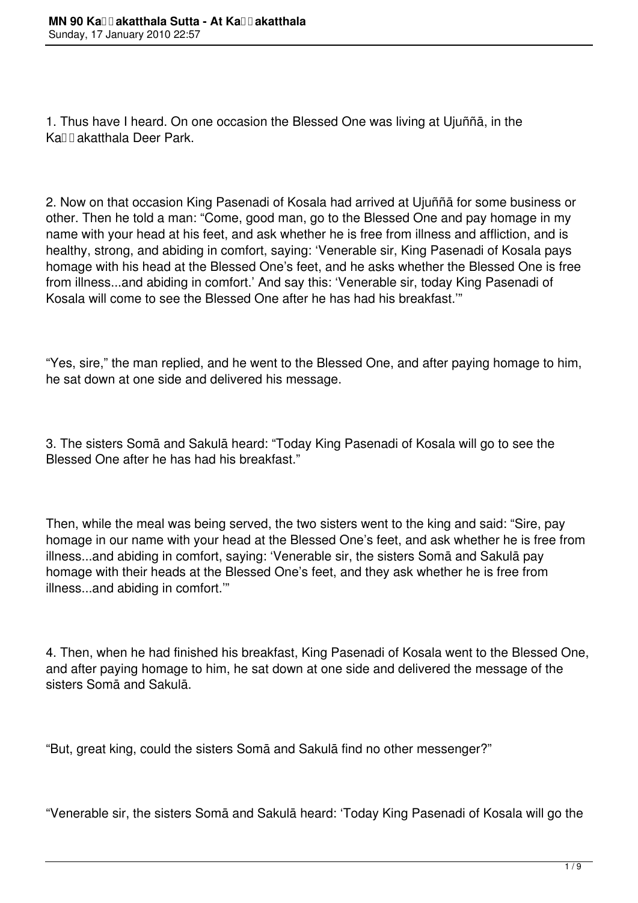1. Thus have I heard. On one occasion the Blessed One was living at Ujuññā, in the Kannakatthala Deer Park.

2. Now on that occasion King Pasenadi of Kosala had arrived at Ujuññā for some business or other. Then he told a man: "Come, good man, go to the Blessed One and pay homage in my name with your head at his feet, and ask whether he is free from illness and affliction, and is healthy, strong, and abiding in comfort, saying: 'Venerable sir, King Pasenadi of Kosala pays homage with his head at the Blessed One's feet, and he asks whether the Blessed One is free from illness...and abiding in comfort.' And say this: 'Venerable sir, today King Pasenadi of Kosala will come to see the Blessed One after he has had his breakfast.'"

"Yes, sire," the man replied, and he went to the Blessed One, and after paying homage to him, he sat down at one side and delivered his message.

3. The sisters Somā and Sakulā heard: "Today King Pasenadi of Kosala will go to see the Blessed One after he has had his breakfast."

Then, while the meal was being served, the two sisters went to the king and said: "Sire, pay homage in our name with your head at the Blessed One's feet, and ask whether he is free from illness...and abiding in comfort, saying: 'Venerable sir, the sisters Somā and Sakulā pay homage with their heads at the Blessed One's feet, and they ask whether he is free from illness...and abiding in comfort.'"

4. Then, when he had finished his breakfast, King Pasenadi of Kosala went to the Blessed One, and after paying homage to him, he sat down at one side and delivered the message of the sisters Somā and Sakulā.

"But, great king, could the sisters Somā and Sakulā find no other messenger?"

"Venerable sir, the sisters Somā and Sakulā heard: 'Today King Pasenadi of Kosala will go the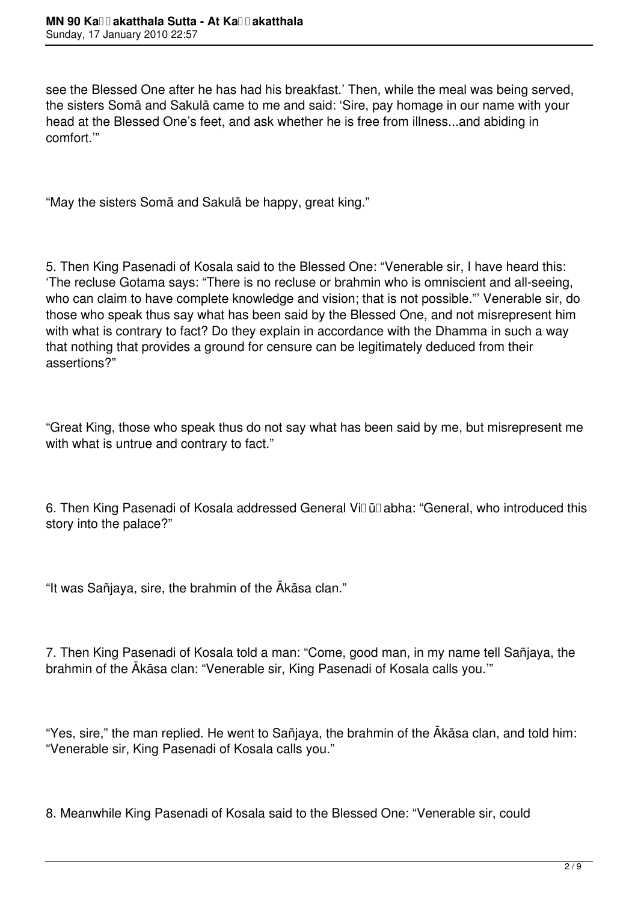see the Blessed One after he has had his breakfast.' Then, while the meal was being served, the sisters Somā and Sakulā came to me and said: 'Sire, pay homage in our name with your head at the Blessed One's feet, and ask whether he is free from illness...and abiding in comfort.'"

"May the sisters Somā and Sakulā be happy, great king."

5. Then King Pasenadi of Kosala said to the Blessed One: "Venerable sir, I have heard this: 'The recluse Gotama says: "There is no recluse or brahmin who is omniscient and all-seeing, who can claim to have complete knowledge and vision; that is not possible."' Venerable sir, do those who speak thus say what has been said by the Blessed One, and not misrepresent him with what is contrary to fact? Do they explain in accordance with the Dhamma in such a way that nothing that provides a ground for censure can be legitimately deduced from their assertions?"

"Great King, those who speak thus do not say what has been said by me, but misrepresent me with what is untrue and contrary to fact."

6. Then King Pasenadi of Kosala addressed General Vill ull abha: "General, who introduced this story into the palace?"

"It was Sañjaya, sire, the brahmin of the Ākāsa clan."

7. Then King Pasenadi of Kosala told a man: "Come, good man, in my name tell Sañjaya, the brahmin of the Ākāsa clan: "Venerable sir, King Pasenadi of Kosala calls you.'"

"Yes, sire," the man replied. He went to Sañjaya, the brahmin of the Ākāsa clan, and told him: "Venerable sir, King Pasenadi of Kosala calls you."

8. Meanwhile King Pasenadi of Kosala said to the Blessed One: "Venerable sir, could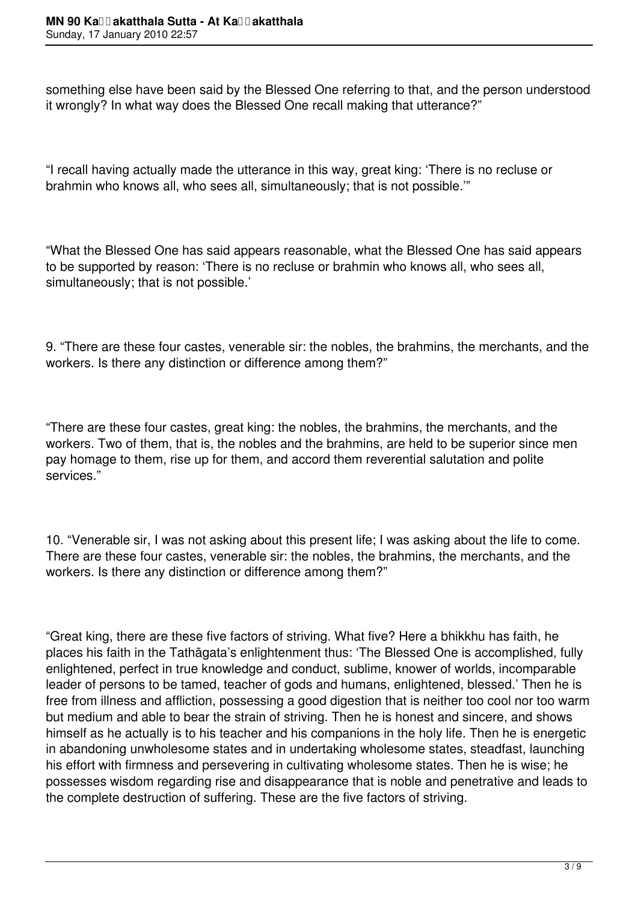something else have been said by the Blessed One referring to that, and the person understood it wrongly? In what way does the Blessed One recall making that utterance?"

"I recall having actually made the utterance in this way, great king: 'There is no recluse or brahmin who knows all, who sees all, simultaneously; that is not possible.'"

"What the Blessed One has said appears reasonable, what the Blessed One has said appears to be supported by reason: 'There is no recluse or brahmin who knows all, who sees all, simultaneously; that is not possible.'

9. "There are these four castes, venerable sir: the nobles, the brahmins, the merchants, and the workers. Is there any distinction or difference among them?"

"There are these four castes, great king: the nobles, the brahmins, the merchants, and the workers. Two of them, that is, the nobles and the brahmins, are held to be superior since men pay homage to them, rise up for them, and accord them reverential salutation and polite services."

10. "Venerable sir, I was not asking about this present life; I was asking about the life to come. There are these four castes, venerable sir: the nobles, the brahmins, the merchants, and the workers. Is there any distinction or difference among them?"

"Great king, there are these five factors of striving. What five? Here a bhikkhu has faith, he places his faith in the Tathāgata's enlightenment thus: 'The Blessed One is accomplished, fully enlightened, perfect in true knowledge and conduct, sublime, knower of worlds, incomparable leader of persons to be tamed, teacher of gods and humans, enlightened, blessed.' Then he is free from illness and affliction, possessing a good digestion that is neither too cool nor too warm but medium and able to bear the strain of striving. Then he is honest and sincere, and shows himself as he actually is to his teacher and his companions in the holy life. Then he is energetic in abandoning unwholesome states and in undertaking wholesome states, steadfast, launching his effort with firmness and persevering in cultivating wholesome states. Then he is wise; he possesses wisdom regarding rise and disappearance that is noble and penetrative and leads to the complete destruction of suffering. These are the five factors of striving.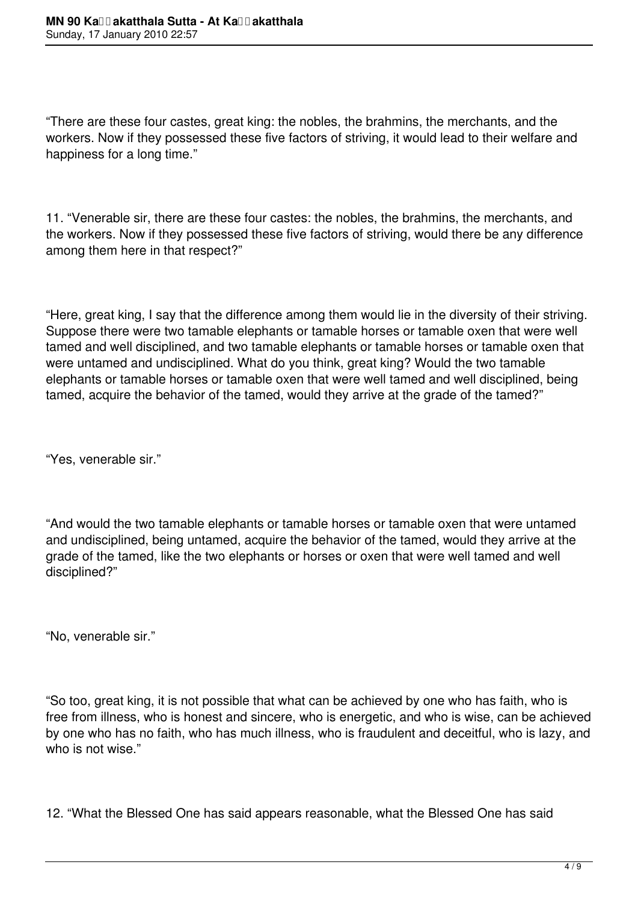"There are these four castes, great king: the nobles, the brahmins, the merchants, and the workers. Now if they possessed these five factors of striving, it would lead to their welfare and happiness for a long time."

11. "Venerable sir, there are these four castes: the nobles, the brahmins, the merchants, and the workers. Now if they possessed these five factors of striving, would there be any difference among them here in that respect?"

"Here, great king, I say that the difference among them would lie in the diversity of their striving. Suppose there were two tamable elephants or tamable horses or tamable oxen that were well tamed and well disciplined, and two tamable elephants or tamable horses or tamable oxen that were untamed and undisciplined. What do you think, great king? Would the two tamable elephants or tamable horses or tamable oxen that were well tamed and well disciplined, being tamed, acquire the behavior of the tamed, would they arrive at the grade of the tamed?"

"Yes, venerable sir."

"And would the two tamable elephants or tamable horses or tamable oxen that were untamed and undisciplined, being untamed, acquire the behavior of the tamed, would they arrive at the grade of the tamed, like the two elephants or horses or oxen that were well tamed and well disciplined?"

"No, venerable sir."

"So too, great king, it is not possible that what can be achieved by one who has faith, who is free from illness, who is honest and sincere, who is energetic, and who is wise, can be achieved by one who has no faith, who has much illness, who is fraudulent and deceitful, who is lazy, and who is not wise."

12. "What the Blessed One has said appears reasonable, what the Blessed One has said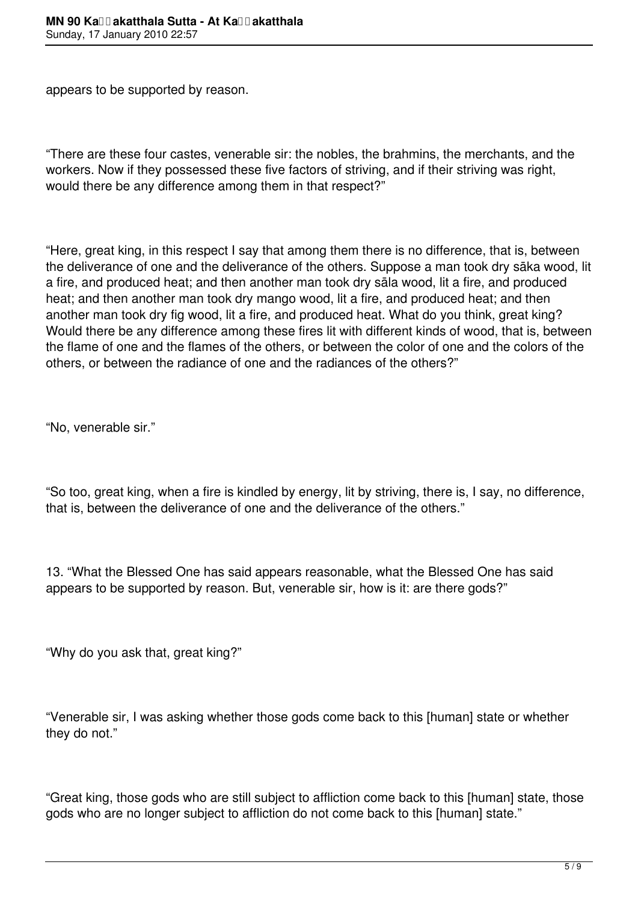appears to be supported by reason.

"There are these four castes, venerable sir: the nobles, the brahmins, the merchants, and the workers. Now if they possessed these five factors of striving, and if their striving was right, would there be any difference among them in that respect?"

"Here, great king, in this respect I say that among them there is no difference, that is, between the deliverance of one and the deliverance of the others. Suppose a man took dry sāka wood, lit a fire, and produced heat; and then another man took dry sāla wood, lit a fire, and produced heat; and then another man took dry mango wood, lit a fire, and produced heat; and then another man took dry fig wood, lit a fire, and produced heat. What do you think, great king? Would there be any difference among these fires lit with different kinds of wood, that is, between the flame of one and the flames of the others, or between the color of one and the colors of the others, or between the radiance of one and the radiances of the others?"

"No, venerable sir."

"So too, great king, when a fire is kindled by energy, lit by striving, there is, I say, no difference, that is, between the deliverance of one and the deliverance of the others."

13. "What the Blessed One has said appears reasonable, what the Blessed One has said appears to be supported by reason. But, venerable sir, how is it: are there gods?"

"Why do you ask that, great king?"

"Venerable sir, I was asking whether those gods come back to this [human] state or whether they do not."

"Great king, those gods who are still subject to affliction come back to this [human] state, those gods who are no longer subject to affliction do not come back to this [human] state."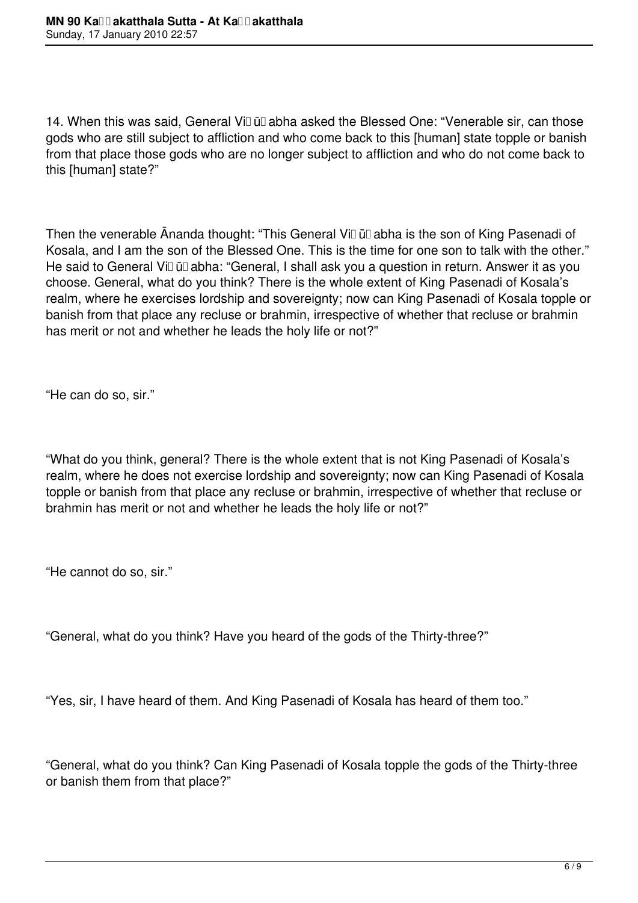14. When this was said, General Vill ull abha asked the Blessed One: "Venerable sir, can those gods who are still subject to affliction and who come back to this [human] state topple or banish from that place those gods who are no longer subject to affliction and who do not come back to this [human] state?"

Then the venerable Ananda thought: "This General Vill ull abha is the son of King Pasenadi of Kosala, and I am the son of the Blessed One. This is the time for one son to talk with the other." He said to General Vill  $\bar{u}$ l abha: "General, I shall ask you a question in return. Answer it as you choose. General, what do you think? There is the whole extent of King Pasenadi of Kosala's realm, where he exercises lordship and sovereignty; now can King Pasenadi of Kosala topple or banish from that place any recluse or brahmin, irrespective of whether that recluse or brahmin has merit or not and whether he leads the holy life or not?"

"He can do so, sir."

"What do you think, general? There is the whole extent that is not King Pasenadi of Kosala's realm, where he does not exercise lordship and sovereignty; now can King Pasenadi of Kosala topple or banish from that place any recluse or brahmin, irrespective of whether that recluse or brahmin has merit or not and whether he leads the holy life or not?"

"He cannot do so, sir."

"General, what do you think? Have you heard of the gods of the Thirty-three?"

"Yes, sir, I have heard of them. And King Pasenadi of Kosala has heard of them too."

"General, what do you think? Can King Pasenadi of Kosala topple the gods of the Thirty-three or banish them from that place?"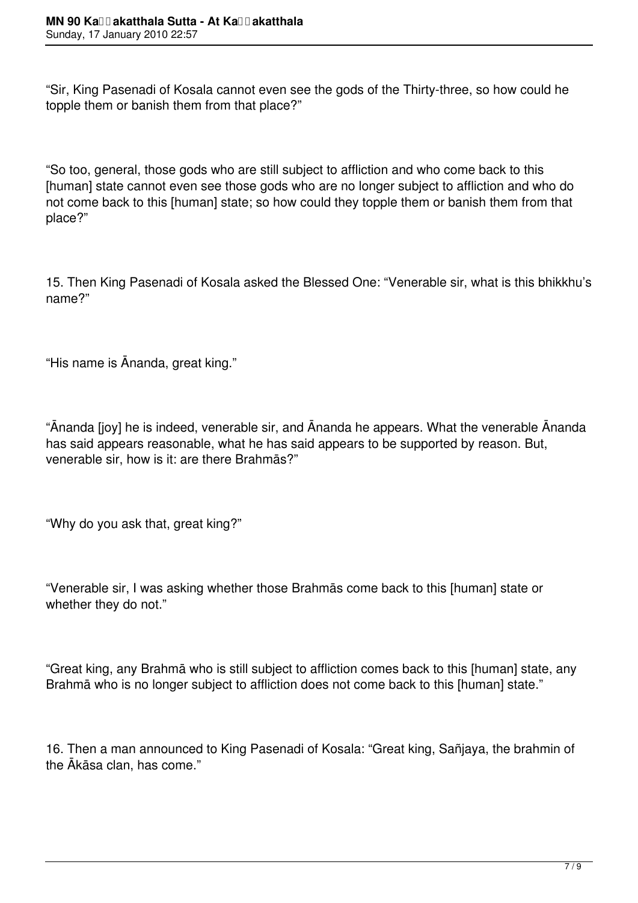"Sir, King Pasenadi of Kosala cannot even see the gods of the Thirty-three, so how could he topple them or banish them from that place?"

"So too, general, those gods who are still subject to affliction and who come back to this [human] state cannot even see those gods who are no longer subject to affliction and who do not come back to this [human] state; so how could they topple them or banish them from that place?"

15. Then King Pasenadi of Kosala asked the Blessed One: "Venerable sir, what is this bhikkhu's name?"

"His name is Ānanda, great king."

"Ānanda [joy] he is indeed, venerable sir, and Ānanda he appears. What the venerable Ānanda has said appears reasonable, what he has said appears to be supported by reason. But, venerable sir, how is it: are there Brahmās?"

"Why do you ask that, great king?"

"Venerable sir, I was asking whether those Brahmās come back to this [human] state or whether they do not."

"Great king, any Brahmā who is still subject to affliction comes back to this [human] state, any Brahmā who is no longer subject to affliction does not come back to this [human] state."

16. Then a man announced to King Pasenadi of Kosala: "Great king, Sañjaya, the brahmin of the Ākāsa clan, has come."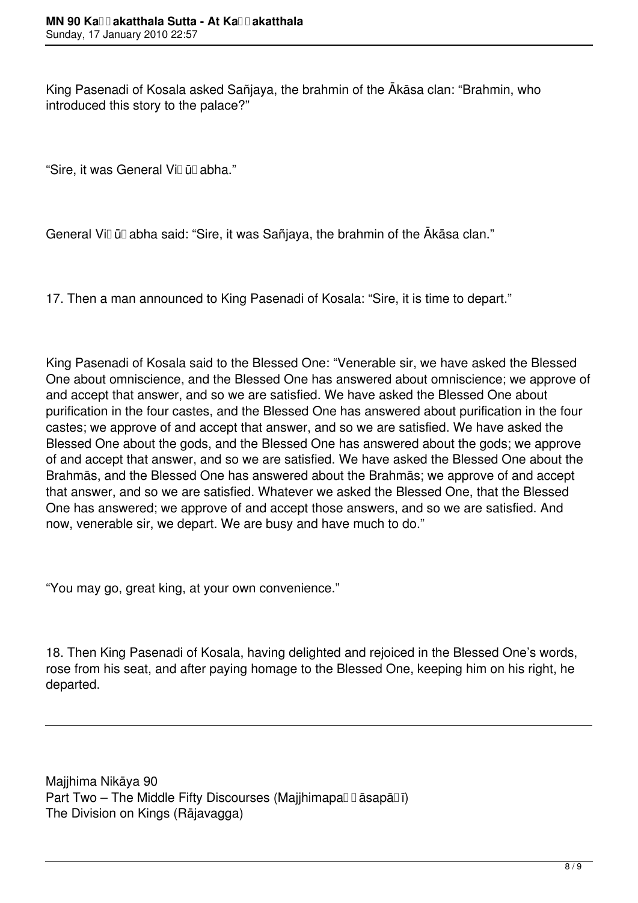King Pasenadi of Kosala asked Sañjaya, the brahmin of the Ākāsa clan: "Brahmin, who introduced this story to the palace?"

"Sire, it was General Vill ull abha."

General Vill ūll abha said: "Sire, it was Sañjaya, the brahmin of the Ākāsa clan."

17. Then a man announced to King Pasenadi of Kosala: "Sire, it is time to depart."

King Pasenadi of Kosala said to the Blessed One: "Venerable sir, we have asked the Blessed One about omniscience, and the Blessed One has answered about omniscience; we approve of and accept that answer, and so we are satisfied. We have asked the Blessed One about purification in the four castes, and the Blessed One has answered about purification in the four castes; we approve of and accept that answer, and so we are satisfied. We have asked the Blessed One about the gods, and the Blessed One has answered about the gods; we approve of and accept that answer, and so we are satisfied. We have asked the Blessed One about the Brahmās, and the Blessed One has answered about the Brahmās; we approve of and accept that answer, and so we are satisfied. Whatever we asked the Blessed One, that the Blessed One has answered; we approve of and accept those answers, and so we are satisfied. And now, venerable sir, we depart. We are busy and have much to do."

"You may go, great king, at your own convenience."

18. Then King Pasenadi of Kosala, having delighted and rejoiced in the Blessed One's words, rose from his seat, and after paying homage to the Blessed One, keeping him on his right, he departed.

Majihima Nikāya 90 Part Two – The Middle Fifty Discourses (Majjhimapa $\Box$  asapa $\Box$ ī) The Division on Kings (Rājavagga)